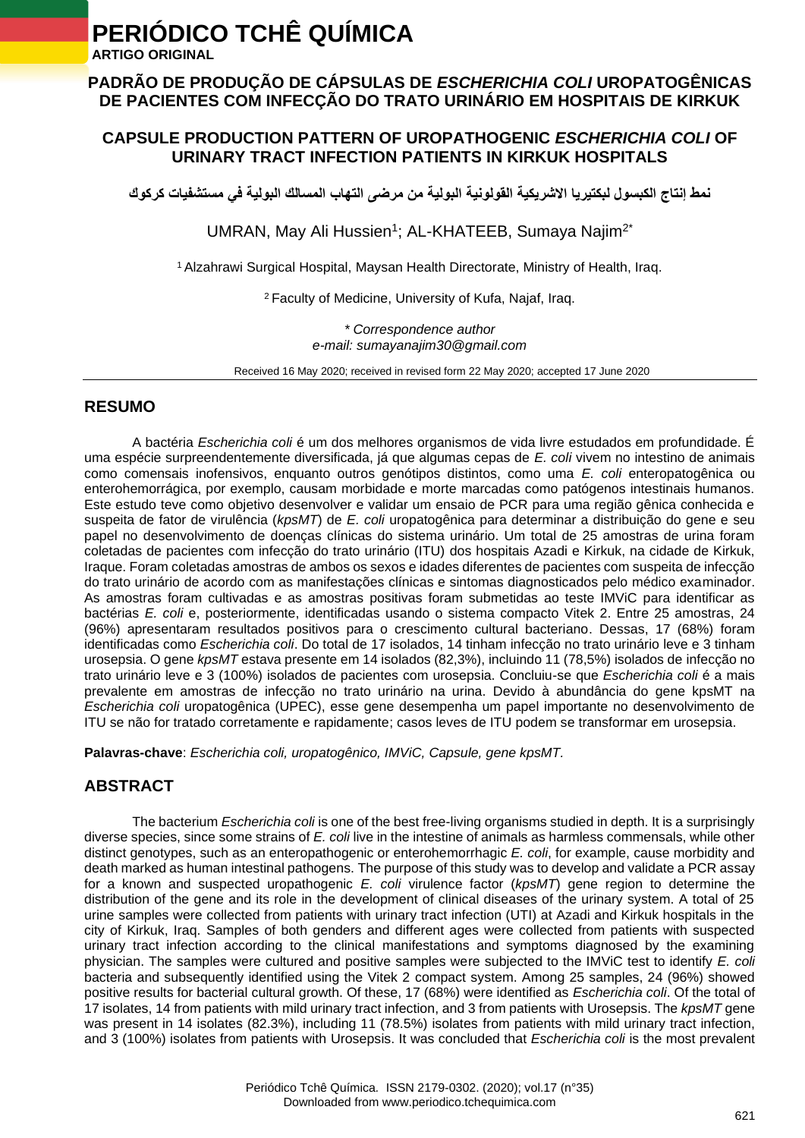# **PERIÓDICO TCHÊ QUÍMICA**

 **ARTIGO ORIGINAL**

## **PADRÃO DE PRODUÇÃO DE CÁPSULAS DE** *ESCHERICHIA COLI* **UROPATOGÊNICAS DE PACIENTES COM INFECÇÃO DO TRATO URINÁRIO EM HOSPITAIS DE KIRKUK**

## **CAPSULE PRODUCTION PATTERN OF UROPATHOGENIC** *ESCHERICHIA COLI* **OF URINARY TRACT INFECTION PATIENTS IN KIRKUK HOSPITALS**

**نمط إنتاج الكبسول لبكتيريا االشريكية القولونية البولية من مرضى التهاب المسالك البولية في مستشفيات كركوك**

UMRAN, May Ali Hussien<sup>1</sup>; AL-KHATEEB, Sumaya Najim<sup>2\*</sup>

<sup>1</sup> Alzahrawi Surgical Hospital, Maysan Health Directorate, Ministry of Health, Iraq.

<sup>2</sup> Faculty of Medicine, University of Kufa, Najaf, Iraq.

*\* Correspondence author e-mail: sumayanajim30@gmail.com*

Received 16 May 2020; received in revised form 22 May 2020; accepted 17 June 2020

## **RESUMO**

A bactéria *Escherichia coli* é um dos melhores organismos de vida livre estudados em profundidade. É uma espécie surpreendentemente diversificada, já que algumas cepas de *E. coli* vivem no intestino de animais como comensais inofensivos, enquanto outros genótipos distintos, como uma *E. coli* enteropatogênica ou enterohemorrágica, por exemplo, causam morbidade e morte marcadas como patógenos intestinais humanos. Este estudo teve como objetivo desenvolver e validar um ensaio de PCR para uma região gênica conhecida e suspeita de fator de virulência (*kpsMT*) de *E. coli* uropatogênica para determinar a distribuição do gene e seu papel no desenvolvimento de doenças clínicas do sistema urinário. Um total de 25 amostras de urina foram coletadas de pacientes com infecção do trato urinário (ITU) dos hospitais Azadi e Kirkuk, na cidade de Kirkuk, Iraque. Foram coletadas amostras de ambos os sexos e idades diferentes de pacientes com suspeita de infecção do trato urinário de acordo com as manifestações clínicas e sintomas diagnosticados pelo médico examinador. As amostras foram cultivadas e as amostras positivas foram submetidas ao teste IMViC para identificar as bactérias *E. coli* e, posteriormente, identificadas usando o sistema compacto Vitek 2. Entre 25 amostras, 24 (96%) apresentaram resultados positivos para o crescimento cultural bacteriano. Dessas, 17 (68%) foram identificadas como *Escherichia coli*. Do total de 17 isolados, 14 tinham infecção no trato urinário leve e 3 tinham urosepsia. O gene *kpsMT* estava presente em 14 isolados (82,3%), incluindo 11 (78,5%) isolados de infecção no trato urinário leve e 3 (100%) isolados de pacientes com urosepsia. Concluiu-se que *Escherichia coli* é a mais prevalente em amostras de infecção no trato urinário na urina. Devido à abundância do gene kpsMT na *Escherichia coli* uropatogênica (UPEC), esse gene desempenha um papel importante no desenvolvimento de ITU se não for tratado corretamente e rapidamente; casos leves de ITU podem se transformar em urosepsia.

**Palavras-chave**: *Escherichia coli, uropatogênico, IMViC, Capsule, gene kpsMT.*

# **ABSTRACT**

The bacterium *Escherichia coli* is one of the best free-living organisms studied in depth. It is a surprisingly diverse species, since some strains of *E. coli* live in the intestine of animals as harmless commensals, while other distinct genotypes, such as an enteropathogenic or enterohemorrhagic *E. coli*, for example, cause morbidity and death marked as human intestinal pathogens. The purpose of this study was to develop and validate a PCR assay for a known and suspected uropathogenic *E. coli* virulence factor (*kpsMT*) gene region to determine the distribution of the gene and its role in the development of clinical diseases of the urinary system. A total of 25 urine samples were collected from patients with urinary tract infection (UTI) at Azadi and Kirkuk hospitals in the city of Kirkuk, Iraq. Samples of both genders and different ages were collected from patients with suspected urinary tract infection according to the clinical manifestations and symptoms diagnosed by the examining physician. The samples were cultured and positive samples were subjected to the IMViC test to identify *E. coli* bacteria and subsequently identified using the Vitek 2 compact system. Among 25 samples, 24 (96%) showed positive results for bacterial cultural growth. Of these, 17 (68%) were identified as *Escherichia coli*. Of the total of 17 isolates, 14 from patients with mild urinary tract infection, and 3 from patients with Urosepsis. The *kpsMT* gene was present in 14 isolates (82.3%), including 11 (78.5%) isolates from patients with mild urinary tract infection, and 3 (100%) isolates from patients with Urosepsis. It was concluded that *Escherichia coli* is the most prevalent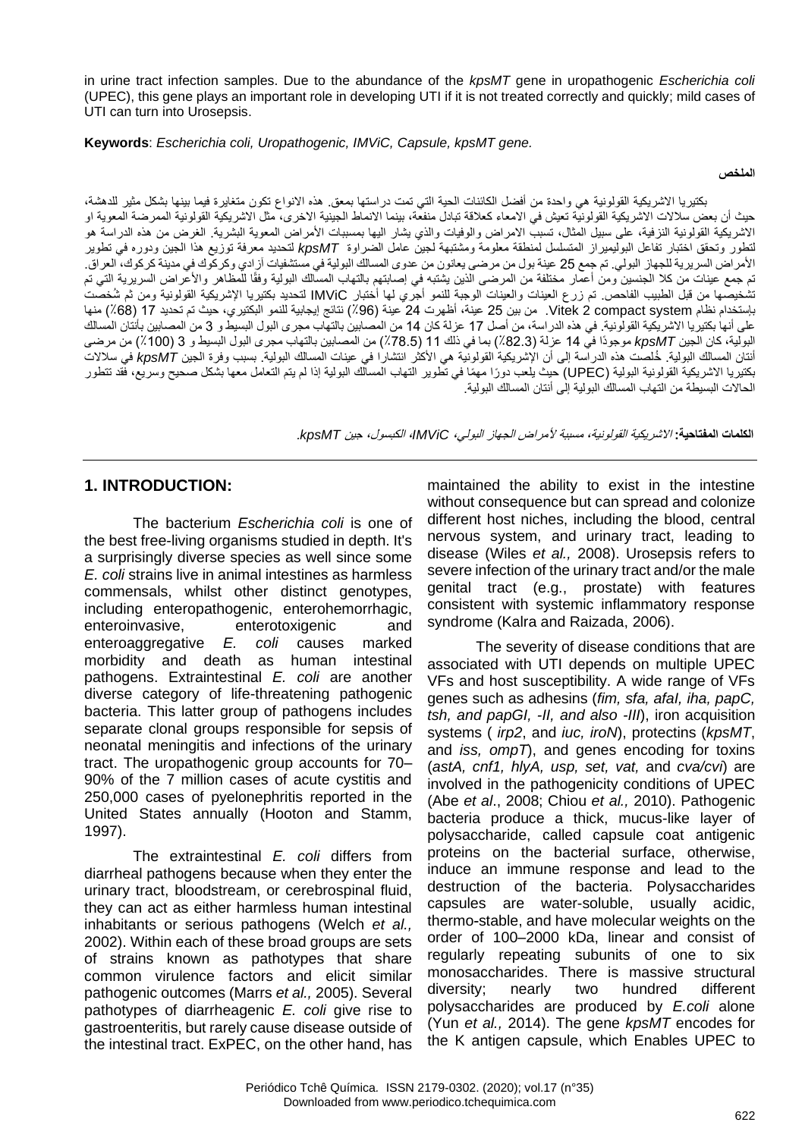in urine tract infection samples. Due to the abundance of the *kpsMT* gene in uropathogenic *Escherichia coli* (UPEC), this gene plays an important role in developing UTI if it is not treated correctly and quickly; mild cases of UTI can turn into Urosepsis.

**Keywords**: *Escherichia coli, Uropathogenic, IMViC, Capsule, kpsMT gene.*

**الملخص**

بكتيريا االشريكية القولونية هي واحدة من أفضل الكائنات الحية التي تمت دراستها بمعق. هذه االنواع تكون متغايرة فيما بينها بشكل مثير للدهشة، حيث أن بعض سلالات الاشريكية القولونية تعيش في الامعاء كعلاقة تبادل منفعة، بينما الانماط الجينية الاخرى، مثل الاشريكية القولونية الممرضة المعوية او الاشريكية القولونية النزفية، على سبيل المثال، تسبب الامراض والوفيات والذي يشار اليها بمسببات الأمراض المعوية البشرية. الغرض من هذه الدراسة هو لتطور وتحقق اختبار تفاعل البوليميراز المتسلسل لمنطقة معلومة ومشتبهة لجين عامل الضراوة *kpsMT* لتحديد معرفة توزيع هذا الجين ودوره في تطوير األمراض السريرية للجهاز البولي. تم جمع 25 عينة بول من مرضى يعانون من عدوى المسالك البولية في مستشفيات آزادي وكركوك في مدينة كركوك، العراق. تم جمع عينات من كلا الجنسين ومن أعمار مختلفة من المرضى الذين يشتبه في إصابتهم بالتهاب المسالك البولية وفقًا للمظاهر والأعراض السريرية التي تم تشخيصها من قبل الطبيب الفاحص. تم زرع العينات والعينات الوجبة للنمو أجري لها أختبار IMViC لتحديد بكتيريا اإلشريكية القولونية ومن ثم ُشخصت بإستخدام نظام system compact 2 Vitek. من بين 25 عينة، أظهرت 24 عينة )٪96( نتائج إيجابية للنمو البكتيري، حيث تم تحديد 17 )٪68( منها على أنها بكتيريا االشريكية القولونية. في هذه الدراسة، من أصل 17 عزلة كان 14 من المصابين بالتهاب مجرى البول البسيط و 3 من المصابين بأنتان المسالك البولية، كان الجين *kpsMT* موجودًا في 14 عزلة )٪82.3( بما في ذلك 11 )٪78.5( من المصابين بالتهاب مجرى البول البسيط و 3 )٪100( من مرضى أنتان المسالك البولية. ُخلصت هذه الدراسة إلى أن اإلشريكية القولونية هي األكثر انتشارا في عينات المسالك البولية. بسبب وفرة الجين *kpsMT* في سالالت بكتيريا االشريكية القولونية البولية )UPEC )حيث يلعب دو ًرا مهًما في تطوير التهاب المسالك البولية إذا لم يتم التعامل معها بشكل صحيح وسريع، فقد تتطور الحاالت البسيطة من التهاب المسالك البولية إلى أنتان المسالك البولية.

**الكلمات المفتاحية:** االشريكية القولونية، مسببة ألمراض الجهاز البولي، *IMViC*، الكبسول، جين *kpsMT*.

## **1. INTRODUCTION:**

The bacterium *Escherichia coli* is one of the best free-living organisms studied in depth. It's a surprisingly diverse species as well since some *E. coli* strains live in animal intestines as harmless commensals, whilst other distinct genotypes, including enteropathogenic, enterohemorrhagic, enteroinvasive, enterotoxigenic and enteroaggregative *E. coli* causes marked morbidity and death as human intestinal pathogens. Extraintestinal *E. coli* are another diverse category of life-threatening pathogenic bacteria. This latter group of pathogens includes separate clonal groups responsible for sepsis of neonatal meningitis and infections of the urinary tract. The uropathogenic group accounts for 70– 90% of the 7 million cases of acute cystitis and 250,000 cases of pyelonephritis reported in the United States annually (Hooton and Stamm, 1997).

The extraintestinal *E. coli* differs from diarrheal pathogens because when they enter the urinary tract, bloodstream, or cerebrospinal fluid, they can act as either harmless human intestinal inhabitants or serious pathogens (Welch *et al.,* 2002). Within each of these broad groups are sets of strains known as pathotypes that share common virulence factors and elicit similar pathogenic outcomes (Marrs *et al.,* 2005). Several pathotypes of diarrheagenic *E. coli* give rise to gastroenteritis, but rarely cause disease outside of the intestinal tract. ExPEC, on the other hand, has

maintained the ability to exist in the intestine without consequence but can spread and colonize different host niches, including the blood, central nervous system, and urinary tract, leading to disease (Wiles *et al.,* 2008). Urosepsis refers to severe infection of the urinary tract and/or the male genital tract (e.g., prostate) with features consistent with systemic inflammatory response syndrome (Kalra and Raizada, 2006).

The severity of disease conditions that are associated with UTI depends on multiple UPEC VFs and host susceptibility. A wide range of VFs genes such as adhesins (*fim, sfa, afaI, iha, papC, tsh, and papGI, -II, and also -III*), iron acquisition systems ( *irp2*, and *iuc, iroN*), protectins (*kpsMT*, and *iss, ompT*), and genes encoding for toxins (*astA, cnf1, hlyA, usp, set, vat,* and *cva/cvi*) are involved in the pathogenicity conditions of UPEC (Abe *et al*., 2008; Chiou *et al.,* 2010). Pathogenic bacteria produce a thick, mucus-like layer of polysaccharide, called capsule coat antigenic proteins on the bacterial surface, otherwise, induce an immune response and lead to the destruction of the bacteria. Polysaccharides capsules are water-soluble, usually acidic, thermo-stable, and have molecular weights on the order of 100–2000 kDa, linear and consist of regularly repeating subunits of one to six monosaccharides. There is massive structural diversity; nearly two hundred different polysaccharides are produced by *E.coli* alone (Yun *et al.,* 2014). The gene *kpsMT* encodes for the K antigen capsule, which Enables UPEC to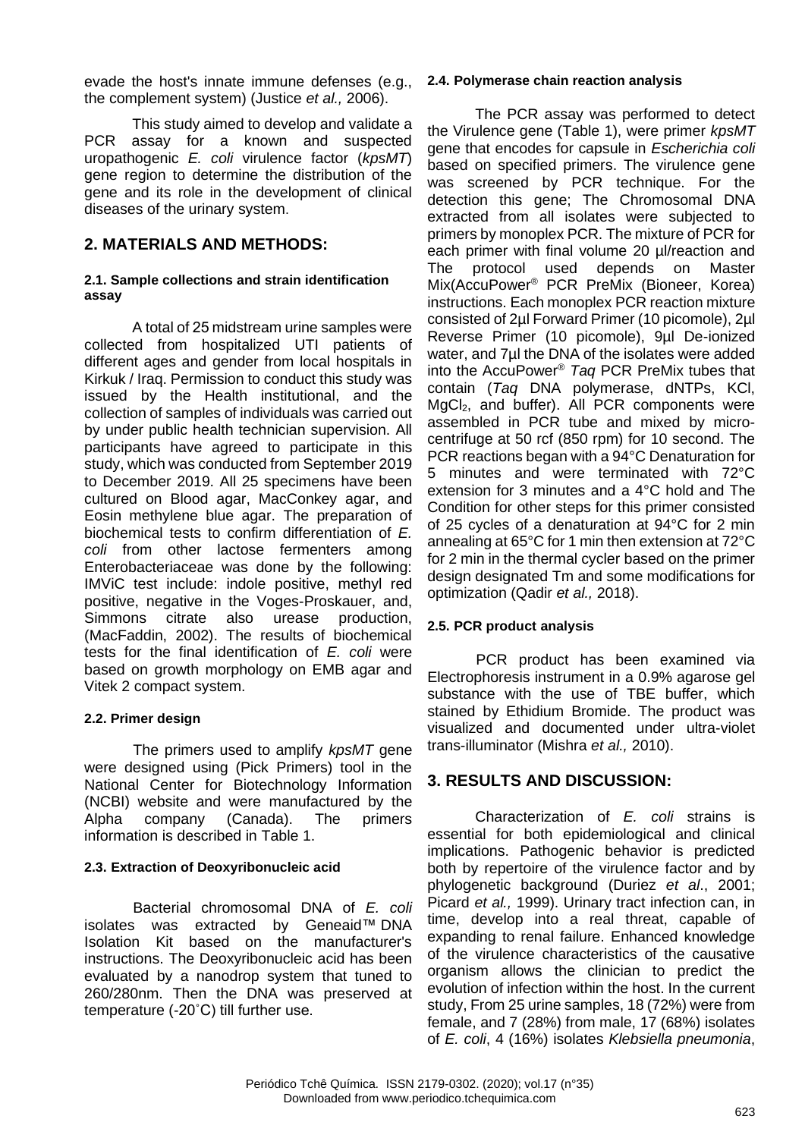evade the host's innate immune defenses (e.g., the complement system) (Justice *et al.,* 2006).

This study aimed to develop and validate a PCR assay for a known and suspected uropathogenic *E. coli* virulence factor (*kpsMT*) gene region to determine the distribution of the gene and its role in the development of clinical diseases of the urinary system.

## **2. MATERIALS AND METHODS:**

#### **2.1. Sample collections and strain identification assay**

A total of 25 midstream urine samples were collected from hospitalized UTI patients of different ages and gender from local hospitals in Kirkuk / Iraq. Permission to conduct this study was issued by the Health institutional, and the collection of samples of individuals was carried out by under public health technician supervision. All participants have agreed to participate in this study, which was conducted from September 2019 to December 2019. All 25 specimens have been cultured on Blood agar, MacConkey agar, and Eosin methylene blue agar. The preparation of biochemical tests to confirm differentiation of *E. coli* from other lactose fermenters among Enterobacteriaceae was done by the following: IMViC test include: indole positive, methyl red positive, negative in the Voges-Proskauer, and, Simmons citrate also urease production, (MacFaddin, 2002). The results of biochemical tests for the final identification of *E. coli* were based on growth morphology on EMB agar and Vitek 2 compact system.

#### **2.2. Primer design**

The primers used to amplify *kpsMT* gene were designed using (Pick Primers) tool in the National Center for Biotechnology Information (NCBI) website and were manufactured by the Alpha company (Canada). The primers information is described in Table 1.

#### **2.3. Extraction of Deoxyribonucleic acid**

Bacterial chromosomal DNA of *E. coli* isolates was extracted by Geneaid™ DNA Isolation Kit based on the manufacturer's instructions. The Deoxyribonucleic acid has been evaluated by a nanodrop system that tuned to 260/280nm. Then the DNA was preserved at temperature (-20˚C) till further use.

#### **2.4. Polymerase chain reaction analysis**

The PCR assay was performed to detect the Virulence gene (Table 1), were primer *kpsMT* gene that encodes for capsule in *Escherichia coli* based on specified primers. The virulence gene was screened by PCR technique. For the detection this gene; The Chromosomal DNA extracted from all isolates were subjected to primers by monoplex PCR. The mixture of PCR for each primer with final volume 20 µl/reaction and The protocol used depends on Master Mix(AccuPower® PCR PreMix (Bioneer, Korea) instructions. Each monoplex PCR reaction mixture consisted of 2µl Forward Primer (10 picomole), 2µl Reverse Primer (10 picomole), 9µl De-ionized water, and 7µl the DNA of the isolates were added into the AccuPower® *Taq* PCR PreMix tubes that contain (*Taq* DNA polymerase, dNTPs, KCl, MgCl<sub>2</sub>, and buffer). All PCR components were assembled in PCR tube and mixed by microcentrifuge at 50 rcf (850 rpm) for 10 second. The PCR reactions began with a 94°C Denaturation for 5 minutes and were terminated with 72°C extension for 3 minutes and a 4°C hold and The Condition for other steps for this primer consisted of 25 cycles of a denaturation at 94°C for 2 min annealing at 65°C for 1 min then extension at 72°C for 2 min in the thermal cycler based on the primer design designated Tm and some modifications for optimization (Qadir *et al.,* 2018).

#### **2.5. PCR product analysis**

PCR product has been examined via Electrophoresis instrument in a 0.9% agarose gel substance with the use of TBE buffer, which stained by Ethidium Bromide. The product was visualized and documented under ultra-violet trans-illuminator (Mishra *et al.,* 2010).

## **3. RESULTS AND DISCUSSION:**

Characterization of *E. coli* strains is essential for both epidemiological and clinical implications. Pathogenic behavior is predicted both by repertoire of the virulence factor and by phylogenetic background (Duriez *et al*., 2001; Picard *et al.,* 1999). Urinary tract infection can, in time, develop into a real threat, capable of expanding to renal failure. Enhanced knowledge of the virulence characteristics of the causative organism allows the clinician to predict the evolution of infection within the host. In the current study, From 25 urine samples, 18 (72%) were from female, and 7 (28%) from male, 17 (68%) isolates of *E. coli*, 4 (16%) isolates *Klebsiella pneumonia*,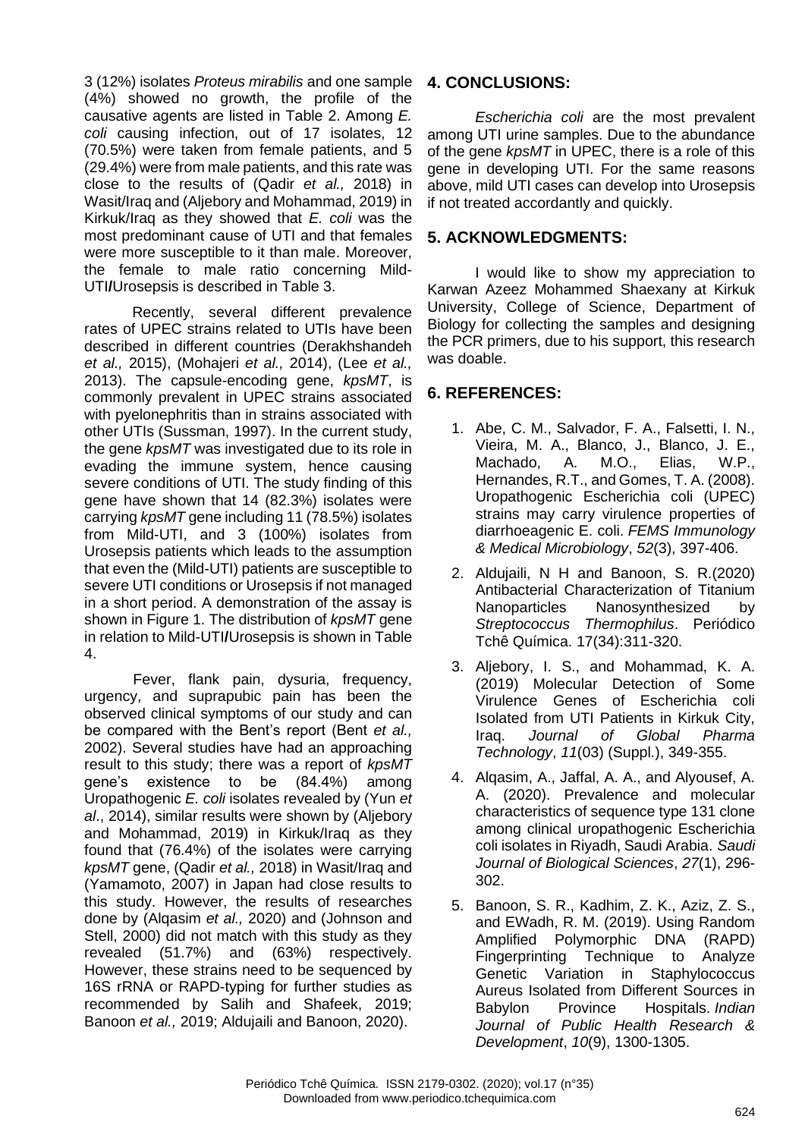3 (12%) isolates *Proteus mirabilis* and one sample (4%) showed no growth, the profile of the causative agents are listed in Table 2. Among *E. coli* causing infection, out of 17 isolates, 12 (70.5%) were taken from female patients, and 5 (29.4%) were from male patients, and this rate was close to the results of (Qadir *et al.,* 2018) in Wasit/Iraq and (Aljebory and Mohammad, 2019) in Kirkuk/Iraq as they showed that *E. coli* was the most predominant cause of UTI and that females were more susceptible to it than male. Moreover, the female to male ratio concerning Mild-UTI**/**Urosepsis is described in Table 3.

Recently, several different prevalence rates of UPEC strains related to UTIs have been described in different countries (Derakhshandeh *et al.,* 2015), (Mohajeri *et al.,* 2014), (Lee *et al.,*  2013). The capsule-encoding gene, *kpsMT*, is commonly prevalent in UPEC strains associated with pyelonephritis than in strains associated with other UTIs (Sussman, 1997). In the current study, the gene *kpsMT* was investigated due to its role in evading the immune system, hence causing severe conditions of UTI. The study finding of this gene have shown that 14 (82.3%) isolates were carrying *kpsMT* gene including 11 (78.5%) isolates from Mild-UTI, and 3 (100%) isolates from Urosepsis patients which leads to the assumption that even the (Mild-UTI) patients are susceptible to severe UTI conditions or Urosepsis if not managed in a short period. A demonstration of the assay is shown in Figure 1. The distribution of *kpsMT* gene in relation to Mild-UTI**/**Urosepsis is shown in Table 4.

Fever, flank pain, dysuria, frequency, urgency, and suprapubic pain has been the observed clinical symptoms of our study and can be compared with the Bent's report (Bent *et al.,* 2002). Several studies have had an approaching result to this study; there was a report of *kpsMT* gene's existence to be (84.4%) among Uropathogenic *E. coli* isolates revealed by (Yun *et al*., 2014), similar results were shown by (Aljebory and Mohammad, 2019) in Kirkuk/Iraq as they found that (76.4%) of the isolates were carrying *kpsMT* gene, (Qadir *et al.,* 2018) in Wasit/Iraq and (Yamamoto, 2007) in Japan had close results to this study. However, the results of researches done by (Alqasim *et al.,* 2020) and (Johnson and Stell, 2000) did not match with this study as they revealed (51.7%) and (63%) respectively. However, these strains need to be sequenced by 16S rRNA or RAPD-typing for further studies as recommended by Salih and Shafeek, 2019; Banoon *et al.,* 2019; Aldujaili and Banoon, 2020).

### **4. CONCLUSIONS:**

*Escherichia coli* are the most prevalent among UTI urine samples. Due to the abundance of the gene *kpsMT* in UPEC, there is a role of this gene in developing UTI. For the same reasons above, mild UTI cases can develop into Urosepsis if not treated accordantly and quickly.

### **5. ACKNOWLEDGMENTS:**

I would like to show my appreciation to Karwan Azeez Mohammed Shaexany at Kirkuk University, College of Science, Department of Biology for collecting the samples and designing the PCR primers, due to his support, this research was doable.

## **6. REFERENCES:**

- 1. Abe, C. M., Salvador, F. A., Falsetti, I. N., Vieira, M. A., Blanco, J., Blanco, J. E., Machado, A. M.O., Elias, W.P., Hernandes, R.T., and Gomes, T. A. (2008). Uropathogenic Escherichia coli (UPEC) strains may carry virulence properties of diarrhoeagenic E. coli. *FEMS Immunology & Medical Microbiology*, *52*(3), 397-406.
- 2. Aldujaili, N H and Banoon, S. R.(2020) Antibacterial Characterization of Titanium Nanoparticles Nanosynthesized by *Streptococcus Thermophilus*. Periódico Tchê Química. 17(34):311-320.
- 3. Aljebory, I. S., and Mohammad, K. A. (2019) Molecular Detection of Some Virulence Genes of Escherichia coli Isolated from UTI Patients in Kirkuk City, Iraq. *Journal of Global Pharma Technology*, *11*(03) (Suppl.), 349-355.
- 4. Alqasim, A., Jaffal, A. A., and Alyousef, A. A. (2020). Prevalence and molecular characteristics of sequence type 131 clone among clinical uropathogenic Escherichia coli isolates in Riyadh, Saudi Arabia. *Saudi Journal of Biological Sciences*, *27*(1), 296- 302.
- 5. Banoon, S. R., Kadhim, Z. K., Aziz, Z. S., and EWadh, R. M. (2019). Using Random Amplified Polymorphic DNA (RAPD) Fingerprinting Technique to Analyze Genetic Variation in Staphylococcus Aureus Isolated from Different Sources in Babylon Province Hospitals. *Indian Journal of Public Health Research & Development*, *10*(9), 1300-1305.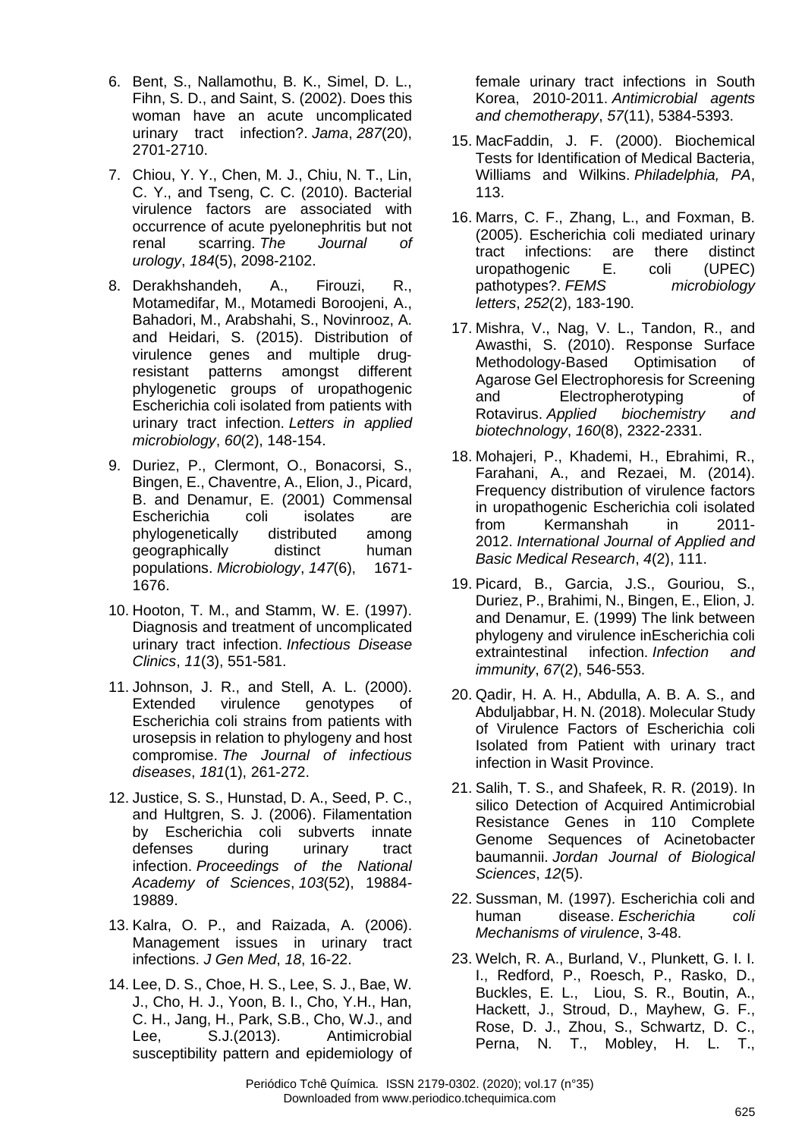- 6. Bent, S., Nallamothu, B. K., Simel, D. L., Fihn, S. D., and Saint, S. (2002). Does this woman have an acute uncomplicated urinary tract infection?. *Jama*, *287*(20), 2701-2710.
- 7. Chiou, Y. Y., Chen, M. J., Chiu, N. T., Lin, C. Y., and Tseng, C. C. (2010). Bacterial virulence factors are associated with occurrence of acute pyelonephritis but not renal scarring. *The Journal of urology*, *184*(5), 2098-2102.
- 8. Derakhshandeh, A., Firouzi, R., Motamedifar, M., Motamedi Boroojeni, A., Bahadori, M., Arabshahi, S., Novinrooz, A. and Heidari, S. (2015). Distribution of virulence genes and multiple drug‐ resistant patterns amongst different phylogenetic groups of uropathogenic Escherichia coli isolated from patients with urinary tract infection. *Letters in applied microbiology*, *60*(2), 148-154.
- 9. Duriez, P., Clermont, O., Bonacorsi, S., Bingen, E., Chaventre, A., Elion, J., Picard, B. and Denamur, E. (2001) Commensal Escherichia coli isolates are phylogenetically distributed among geographically distinct human populations. *Microbiology*, *147*(6), 1671- 1676.
- 10. Hooton, T. M., and Stamm, W. E. (1997). Diagnosis and treatment of uncomplicated urinary tract infection. *Infectious Disease Clinics*, *11*(3), 551-581.
- 11. Johnson, J. R., and Stell, A. L. (2000). Extended virulence genotypes of Escherichia coli strains from patients with urosepsis in relation to phylogeny and host compromise. *The Journal of infectious diseases*, *181*(1), 261-272.
- 12. Justice, S. S., Hunstad, D. A., Seed, P. C., and Hultgren, S. J. (2006). Filamentation by Escherichia coli subverts innate defenses during urinary tract infection. *Proceedings of the National Academy of Sciences*, *103*(52), 19884- 19889.
- 13. Kalra, O. P., and Raizada, A. (2006). Management issues in urinary tract infections. *J Gen Med*, *18*, 16-22.
- 14. Lee, D. S., Choe, H. S., Lee, S. J., Bae, W. J., Cho, H. J., Yoon, B. I., Cho, Y.H., Han, C. H., Jang, H., Park, S.B., Cho, W.J., and Lee, S.J.(2013). Antimicrobial susceptibility pattern and epidemiology of

female urinary tract infections in South Korea, 2010-2011. *Antimicrobial agents and chemotherapy*, *57*(11), 5384-5393.

- 15. MacFaddin, J. F. (2000). Biochemical Tests for Identification of Medical Bacteria, Williams and Wilkins. *Philadelphia, PA*, 113.
- 16. Marrs, C. F., Zhang, L., and Foxman, B. (2005). Escherichia coli mediated urinary tract infections: are there distinct uropathogenic E. coli (UPEC) pathotypes?. *FEMS microbiology letters*, *252*(2), 183-190.
- 17. Mishra, V., Nag, V. L., Tandon, R., and Awasthi, S. (2010). Response Surface Methodology-Based Optimisation of Agarose Gel Electrophoresis for Screening and Electropherotyping of Rotavirus. *Applied biochemistry and biotechnology*, *160*(8), 2322-2331.
- 18. Mohajeri, P., Khademi, H., Ebrahimi, R., Farahani, A., and Rezaei, M. (2014). Frequency distribution of virulence factors in uropathogenic Escherichia coli isolated from Kermanshah in 2011- 2012. *International Journal of Applied and Basic Medical Research*, *4*(2), 111.
- 19. Picard, B., Garcia, J.S., Gouriou, S., Duriez, P., Brahimi, N., Bingen, E., Elion, J. and Denamur, E. (1999) The link between phylogeny and virulence inEscherichia coli extraintestinal infection. *Infection and immunity*, *67*(2), 546-553.
- 20. Qadir, H. A. H., Abdulla, A. B. A. S., and Abduljabbar, H. N. (2018). Molecular Study of Virulence Factors of Escherichia coli Isolated from Patient with urinary tract infection in Wasit Province.
- 21. Salih, T. S., and Shafeek, R. R. (2019). In silico Detection of Acquired Antimicrobial Resistance Genes in 110 Complete Genome Sequences of Acinetobacter baumannii. *Jordan Journal of Biological Sciences*, *12*(5).
- 22. Sussman, M. (1997). Escherichia coli and human disease. *Escherichia coli Mechanisms of virulence*, 3-48.
- 23. Welch, R. A., Burland, V., Plunkett, G. I. I. I., Redford, P., Roesch, P., Rasko, D., Buckles, E. L., Liou, S. R., Boutin, A., Hackett, J., Stroud, D., Mayhew, G. F., Rose, D. J., Zhou, S., Schwartz, D. C., Perna, N. T., Mobley, H. L. T.,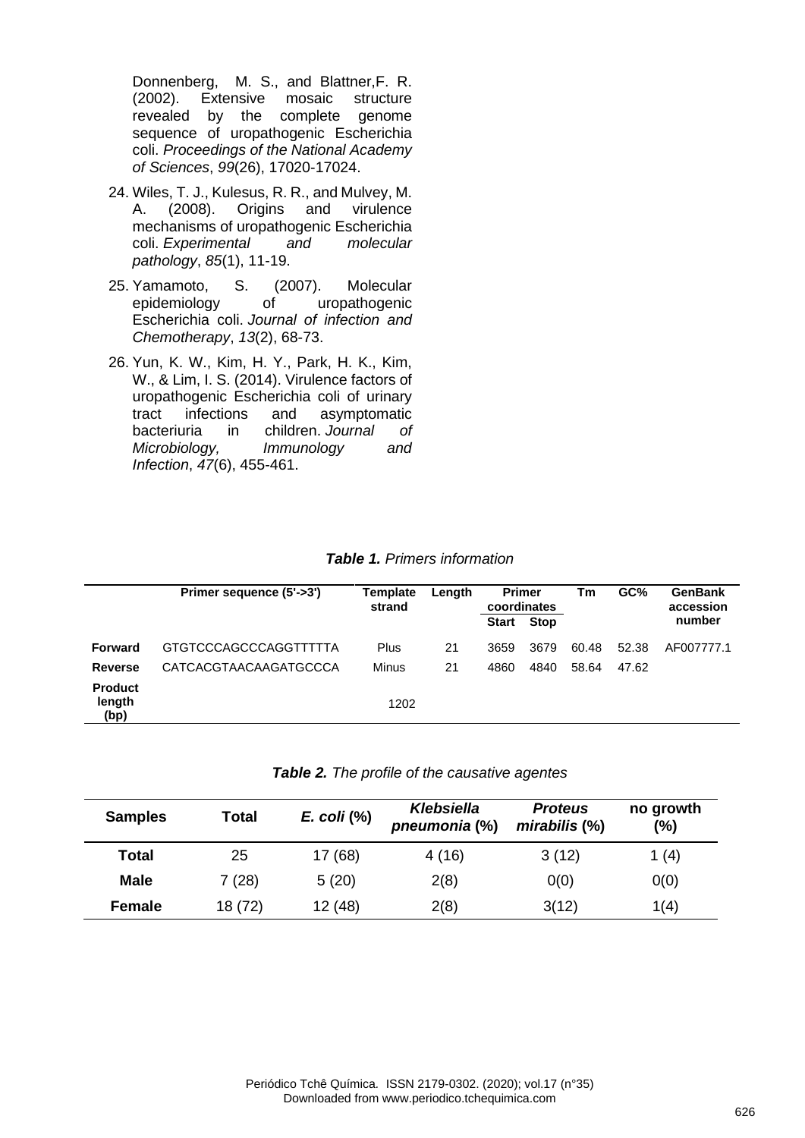Donnenberg, M. S., and Blattner,F. R. (2002). Extensive mosaic structure revealed by the complete genome sequence of uropathogenic Escherichia coli. *Proceedings of the National Academy of Sciences*, *99*(26), 17020-17024.

- 24. Wiles, T. J., Kulesus, R. R., and Mulvey, M. A. (2008). Origins and virulence mechanisms of uropathogenic Escherichia coli. *Experimental and molecular pathology*, *85*(1), 11-19.
- 25. Yamamoto, S. (2007). Molecular<br>epidemiology of uropathogenic epidemiology of uropathogenic Escherichia coli. *Journal of infection and Chemotherapy*, *13*(2), 68-73.
- 26. Yun, K. W., Kim, H. Y., Park, H. K., Kim, W., & Lim, I. S. (2014). Virulence factors of uropathogenic Escherichia coli of urinary tract infections and asymptomatic bacteriuria in children. *Journal of Microbiology, Immunology and Infection*, *47*(6), 455-461.

|                                  | Primer sequence (5'->3') | Template<br>strand | Length | <b>Primer</b><br>coordinates<br><b>Start</b> | <b>Stop</b> | Тm    | GC%   | <b>GenBank</b><br>accession<br>number |
|----------------------------------|--------------------------|--------------------|--------|----------------------------------------------|-------------|-------|-------|---------------------------------------|
| <b>Forward</b>                   | GTGTCCCAGCCCAGGTTTTTA    | Plus               | 21     | 3659                                         | 3679        | 60.48 | 52.38 | AF007777.1                            |
| <b>Reverse</b>                   | CATCACGTAACAAGATGCCCA    | <b>Minus</b>       | 21     | 4860                                         | 4840        | 58.64 | 47.62 |                                       |
| <b>Product</b><br>length<br>(bp) |                          | 1202               |        |                                              |             |       |       |                                       |

*Table 1. Primers information* 

|  |  |  |  | Table 2. The profile of the causative agentes |  |
|--|--|--|--|-----------------------------------------------|--|
|--|--|--|--|-----------------------------------------------|--|

| <b>Samples</b> | Total   | $E.$ coli $(\%)$ | Klebsiella<br>pneumonia (%) | <b>Proteus</b><br>$mirabilis$ $(\%)$ | no growth<br>(%) |
|----------------|---------|------------------|-----------------------------|--------------------------------------|------------------|
| Total          | 25      | 17(68)           | 4(16)                       | 3(12)                                | 1(4)             |
| <b>Male</b>    | 7(28)   | 5(20)            | 2(8)                        | 0(0)                                 | 0(0)             |
| Female         | 18 (72) | 12(48)           | 2(8)                        | 3(12)                                | 1(4)             |